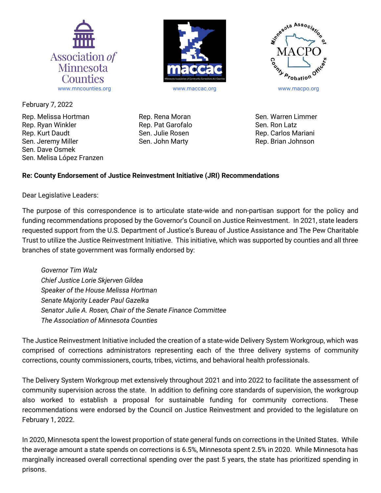

February 7, 2022

Rep. Melissa Hortman Rep. Ryan Winkler Rep. Kurt Daudt Sen. Jeremy Miller Sen. Dave Osmek Sen. Melisa López Franzen Rep. Rena Moran Rep. Pat Garofalo Sen. Julie Rosen Sen. John Marty



Sen. Warren Limmer Sen. Ron Latz Rep. Carlos Mariani Rep. Brian Johnson

## **Re: County Endorsement of Justice Reinvestment Initiative (JRI) Recommendations**

Dear Legislative Leaders:

The purpose of this correspondence is to articulate state-wide and non-partisan support for the policy and funding recommendations proposed by the Governor's Council on Justice Reinvestment. In 2021, state leaders requested support from the U.S. Department of Justice's Bureau of Justice Assistance and The Pew Charitable Trust to utilize the Justice Reinvestment Initiative. This initiative, which was supported by counties and all three branches of state government was formally endorsed by:

*Governor Tim Walz Chief Justice Lorie Skjerven Gildea Speaker of the House Melissa Hortman Senate Majority Leader Paul Gazelka Senator Julie A. Rosen, Chair of the Senate Finance Committee The Association of Minnesota Counties* 

The Justice Reinvestment Initiative included the creation of a state-wide Delivery System Workgroup, which was comprised of corrections administrators representing each of the three delivery systems of community corrections, county commissioners, courts, tribes, victims, and behavioral health professionals.

The Delivery System Workgroup met extensively throughout 2021 and into 2022 to facilitate the assessment of community supervision across the state. In addition to defining core standards of supervision, the workgroup also worked to establish a proposal for sustainable funding for community corrections. These recommendations were endorsed by the Council on Justice Reinvestment and provided to the legislature on February 1, 2022.

In 2020, Minnesota spent the lowest proportion of state general funds on corrections in the United States. While the average amount a state spends on corrections is 6.5%, Minnesota spent 2.5% in 2020. While Minnesota has marginally increased overall correctional spending over the past 5 years, the state has prioritized spending in prisons.